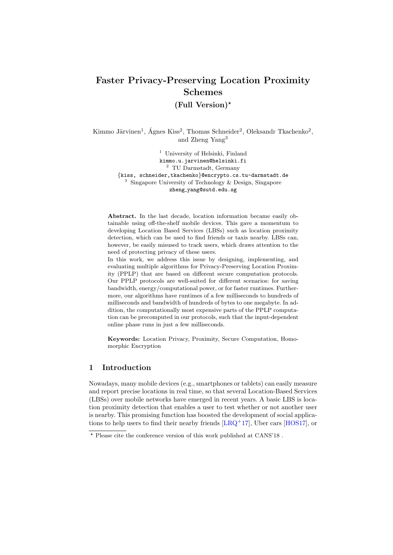# Faster Privacy-Preserving Location Proximity Schemes

(Full Version)?

Kimmo Järvinen<sup>1</sup>, Ágnes Kiss<sup>2</sup>, Thomas Schneider<sup>2</sup>, Oleksandr Tkachenko<sup>2</sup>, and Zheng Yang<sup>3</sup>

> <sup>1</sup> University of Helsinki, Finland kimmo.u.jarvinen@helsinki.fi <sup>2</sup> TU Darmstadt, Germany {kiss, schneider,tkachenko}@encrypto.cs.tu-darmstadt.de <sup>3</sup> Singapore University of Technology & Design, Singapore zheng yang@sutd.edu.sg

Abstract. In the last decade, location information became easily obtainable using off-the-shelf mobile devices. This gave a momentum to developing Location Based Services (LBSs) such as location proximity detection, which can be used to find friends or taxis nearby. LBSs can, however, be easily misused to track users, which draws attention to the need of protecting privacy of these users.

In this work, we address this issue by designing, implementing, and evaluating multiple algorithms for Privacy-Preserving Location Proximity (PPLP) that are based on different secure computation protocols. Our PPLP protocols are well-suited for different scenarios: for saving bandwidth, energy/computational power, or for faster runtimes. Furthermore, our algorithms have runtimes of a few milliseconds to hundreds of milliseconds and bandwidth of hundreds of bytes to one megabyte. In addition, the computationally most expensive parts of the PPLP computation can be precomputed in our protocols, such that the input-dependent online phase runs in just a few milliseconds.

Keywords: Location Privacy, Proximity, Secure Computation, Homomorphic Encryption

# 1 Introduction

Nowadays, many mobile devices (e.g., smartphones or tablets) can easily measure and report precise locations in real time, so that several Location-Based Services (LBSs) over mobile networks have emerged in recent years. A basic LBS is location proximity detection that enables a user to test whether or not another user is nearby. This promising function has boosted the development of social applications to help users to find their nearby friends [\[LRQ](#page-19-0)<sup>+</sup>17], Uber cars [\[HOS17\]](#page-19-1), or

<sup>?</sup> Please cite the conference version of this work published at CANS'18 .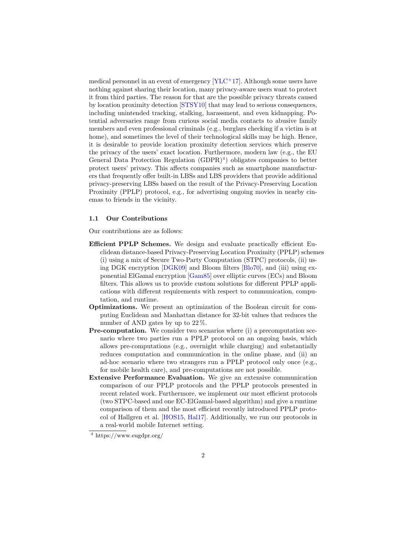medical personnel in an event of emergency  $[YLC+17]$  $[YLC+17]$ . Although some users have nothing against sharing their location, many privacy-aware users want to protect it from third parties. The reason for that are the possible privacy threats caused by location proximity detection [\[STSY10\]](#page-19-3) that may lead to serious consequences, including unintended tracking, stalking, harassment, and even kidnapping. Potential adversaries range from curious social media contacts to abusive family members and even professional criminals (e.g., burglars checking if a victim is at home), and sometimes the level of their technological skills may be high. Hence, it is desirable to provide location proximity detection services which preserve the privacy of the users' exact location. Furthermore, modern law (e.g., the EU General Data Protection Regulation  $(GDPR)^4$  $(GDPR)^4$ ) obligates companies to better protect users' privacy. This affects companies such as smartphone manufacturers that frequently offer built-in LBSs and LBS providers that provide additional privacy-preserving LBSs based on the result of the Privacy-Preserving Location Proximity (PPLP) protocol, e.g., for advertising ongoing movies in nearby cinemas to friends in the vicinity.

#### 1.1 Our Contributions

Our contributions are as follows:

- Efficient PPLP Schemes. We design and evaluate practically efficient Euclidean distance-based Privacy-Preserving Location Proximity (PPLP) schemes (i) using a mix of Secure Two-Party Computation (STPC) protocols, (ii) using DGK encryption [\[DGK09\]](#page-18-0) and Bloom filters [\[Blo70\]](#page-18-1), and (iii) using exponential ElGamal encryption [\[Gam85\]](#page-18-2) over elliptic curves (ECs) and Bloom filters. This allows us to provide custom solutions for different PPLP applications with different requirements with respect to communication, computation, and runtime.
- Optimizations. We present an optimization of the Boolean circuit for computing Euclidean and Manhattan distance for 32-bit values that reduces the number of AND gates by up to 22 %.
- Pre-computation. We consider two scenarios where (i) a precomputation scenario where two parties run a PPLP protocol on an ongoing basis, which allows pre-computations (e.g., overnight while charging) and substantially reduces computation and communication in the online phase, and (ii) an ad-hoc scenario where two strangers run a PPLP protocol only once (e.g., for mobile health care), and pre-computations are not possible.
- Extensive Performance Evaluation. We give an extensive communication comparison of our PPLP protocols and the PPLP protocols presented in recent related work. Furthermore, we implement our most efficient protocols (two STPC-based and one EC-ElGamal-based algorithm) and give a runtime comparison of them and the most efficient recently introduced PPLP protocol of Hallgren et al. [\[HOS15,](#page-18-3) [Hal17\]](#page-18-4). Additionally, we run our protocols in a real-world mobile Internet setting.

<span id="page-1-0"></span><sup>4</sup> https://www.eugdpr.org/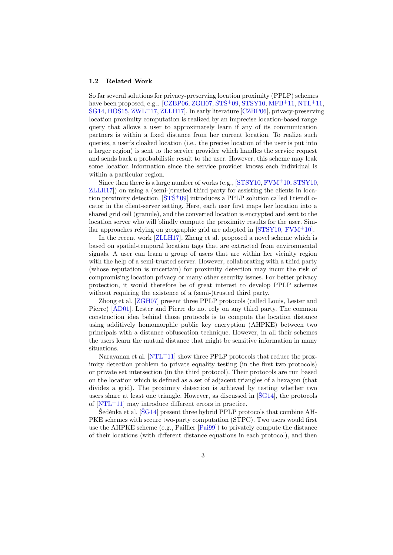#### 1.2 Related Work

So far several solutions for privacy-preserving location proximity (PPLP) schemes have been proposed, e.g.,  $\left[ CZBP06, ZGH07, \text{STS}^+09, \text{STSY10}, \text{MFB}^+11, \text{NTL}^+11, \right]$  $\left[ CZBP06, ZGH07, \text{STS}^+09, \text{STSY10}, \text{MFB}^+11, \text{NTL}^+11, \right]$  $\left[ CZBP06, ZGH07, \text{STS}^+09, \text{STSY10}, \text{MFB}^+11, \text{NTL}^+11, \right]$  $\left[ CZBP06, ZGH07, \text{STS}^+09, \text{STSY10}, \text{MFB}^+11, \text{NTL}^+11, \right]$  $\left[ CZBP06, ZGH07, \text{STS}^+09, \text{STSY10}, \text{MFB}^+11, \text{NTL}^+11, \right]$  $\left[ CZBP06, ZGH07, \text{STS}^+09, \text{STSY10}, \text{MFB}^+11, \text{NTL}^+11, \right]$  $\left[ CZBP06, ZGH07, \text{STS}^+09, \text{STSY10}, \text{MFB}^+11, \text{NTL}^+11, \right]$  $\text{SG}14, \text{HOS}15, \text{ZWL}+17, \text{ZLL}+17$  $\text{SG}14, \text{HOS}15, \text{ZWL}+17, \text{ZLL}+17$  $\text{SG}14, \text{HOS}15, \text{ZWL}+17, \text{ZLL}+17$ . In early literature [\[CZBP06\]](#page-18-5), privacy-preserving location proximity computation is realized by an imprecise location-based range query that allows a user to approximately learn if any of its communication partners is within a fixed distance from her current location. To realize such queries, a user's cloaked location (i.e., the precise location of the user is put into a larger region) is sent to the service provider which handles the service request and sends back a probabilistic result to the user. However, this scheme may leak some location information since the service provider knows each individual is within a particular region.

Since then there is a large number of works (e.g., [\[STSY10,](#page-19-3) [FVM](#page-18-6)+10, [STSY10,](#page-19-3) [ZLLH17\]](#page-19-9)) on using a (semi-)trusted third party for assisting the clients in location proximity detection.  $[\tilde{S}T\tilde{S}^+09]$  introduces a PPLP solution called FriendLocator in the client-server setting. Here, each user first maps her location into a shared grid cell (granule), and the converted location is encrypted and sent to the location server who will blindly compute the proximity results for the user. Similar approaches relying on geographic grid are adopted in [\[STSY10,](#page-19-3) [FVM](#page-18-6)<sup>+</sup>10].

In the recent work [\[ZLLH17\]](#page-19-9), Zheng et al. proposed a novel scheme which is based on spatial-temporal location tags that are extracted from environmental signals. A user can learn a group of users that are within her vicinity region with the help of a semi-trusted server. However, collaborating with a third party (whose reputation is uncertain) for proximity detection may incur the risk of compromising location privacy or many other security issues. For better privacy protection, it would therefore be of great interest to develop PPLP schemes without requiring the existence of a (semi-)trusted third party.

Zhong et al. [\[ZGH07\]](#page-19-4) present three PPLP protocols (called Louis, Lester and Pierre) [\[AD01\]](#page-18-7). Lester and Pierre do not rely on any third party. The common construction idea behind those protocols is to compute the location distance using additively homomorphic public key encryption (AHPKE) between two principals with a distance obfuscation technique. However, in all their schemes the users learn the mutual distance that might be sensitive information in many situations.

Narayanan et al. [\[NTL](#page-19-7)+11] show three PPLP protocols that reduce the proximity detection problem to private equality testing (in the first two protocols) or private set intersection (in the third protocol). Their protocols are run based on the location which is defined as a set of adjacent triangles of a hexagon (that divides a grid). The proximity detection is achieved by testing whether two users share at least one triangle. However, as discussed in  $[\text{SG}14]$ , the protocols of  $[NTL+11]$  $[NTL+11]$  may introduce different errors in practice.

Seděnka et al. [[SG14](#page-19-8)] present three hybrid PPLP protocols that combine AH-PKE schemes with secure two-party computation (STPC). Two users would first use the AHPKE scheme (e.g., Paillier [\[Pai99\]](#page-19-10)) to privately compute the distance of their locations (with different distance equations in each protocol), and then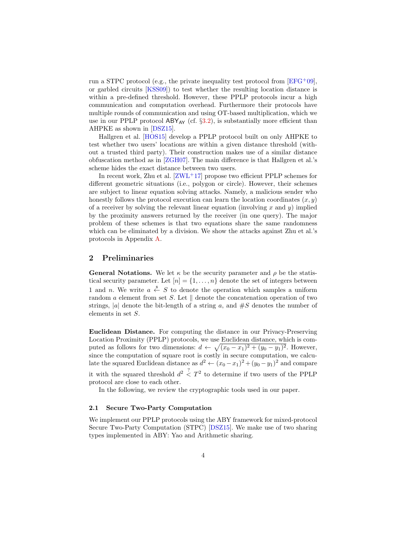run a STPC protocol (e.g., the private inequality test protocol from  $[EFG^+0.9]$  $[EFG^+0.9]$ , or garbled circuits [\[KSS09\]](#page-19-11)) to test whether the resulting location distance is within a pre-defined threshold. However, these PPLP protocols incur a high communication and computation overhead. Furthermore their protocols have multiple rounds of communication and using OT-based multiplication, which we use in our PPLP protocol  $ABY_{AY}$  (cf. §[3.2\)](#page-7-0), is substantially more efficient than AHPKE as shown in [\[DSZ15\]](#page-18-9).

Hallgren et al. [\[HOS15\]](#page-18-3) develop a PPLP protocol built on only AHPKE to test whether two users' locations are within a given distance threshold (without a trusted third party). Their construction makes use of a similar distance obfuscation method as in [\[ZGH07\]](#page-19-4). The main difference is that Hallgren et al.'s scheme hides the exact distance between two users.

In recent work, Zhu et al.  $[ZWL+17]$  $[ZWL+17]$  propose two efficient PPLP schemes for different geometric situations (i.e., polygon or circle). However, their schemes are subject to linear equation solving attacks. Namely, a malicious sender who honestly follows the protocol execution can learn the location coordinates  $(x, y)$ of a receiver by solving the relevant linear equation (involving x and y) implied by the proximity answers returned by the receiver (in one query). The major problem of these schemes is that two equations share the same randomness which can be eliminated by a division. We show the attacks against Zhu et al.'s protocols in Appendix [A.](#page-20-1)

## 2 Preliminaries

**General Notations.** We let  $\kappa$  be the security parameter and  $\rho$  be the statistical security parameter. Let  $[n] = \{1, \ldots, n\}$  denote the set of integers between 1 and *n*. We write  $a \stackrel{s}{\leftarrow} S$  to denote the operation which samples a uniform random a element from set S. Let  $\parallel$  denote the concatenation operation of two strings,  $|a|$  denote the bit-length of a string a, and  $#S$  denotes the number of elements in set S.

Euclidean Distance. For computing the distance in our Privacy-Preserving Location Proximity (PPLP) protocols, we use Euclidean distance, which is computed as follows for two dimensions:  $d \leftarrow \sqrt{(x_0 - x_1)^2 + (y_0 - y_1)^2}$ . However, since the computation of square root is costly in secure computation, we calculate the squared Euclidean distance as  $d^2 \leftarrow (x_0 - x_1)^2 + (y_0 - y_1)^2$  and compare it with the squared threshold  $d^2 \leq T^2$  to determine if two users of the PPLP protocol are close to each other.

In the following, we review the cryptographic tools used in our paper.

# 2.1 Secure Two-Party Computation

We implement our PPLP protocols using the ABY framework for mixed-protocol Secure Two-Party Computation (STPC) [\[DSZ15\]](#page-18-9). We make use of two sharing types implemented in ABY: Yao and Arithmetic sharing.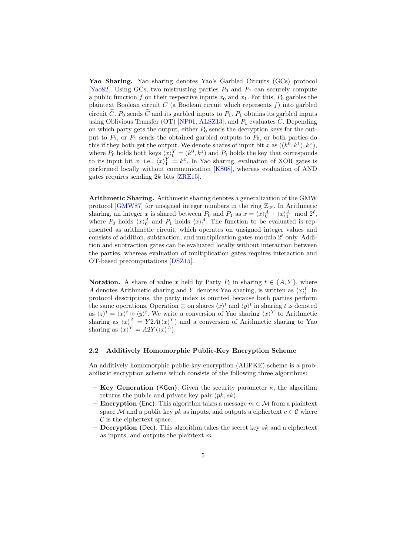Yao Sharing. Yao sharing denotes Yao's Garbled Circuits (GCs) protocol [\[Yao82\]](#page-19-12). Using GCs, two mistrusting parties  $P_0$  and  $P_1$  can securely compute a public function f on their respective inputs  $x_0$  and  $x_1$ . For this,  $P_0$  garbles the plaintext Boolean circuit  $C$  (a Boolean circuit which represents  $f$ ) into garbled circuit  $\tilde{C}$ .  $P_0$  sends  $\tilde{C}$  and its garbled inputs to  $P_1$ .  $P_1$  obtains its garbled inputs using Oblivious Transfer (OT) [\[NP01,](#page-19-13) [ALSZ13\]](#page-18-10), and  $P_1$  evaluates  $\tilde{C}$ . Depending on which party gets the output, either  $P_0$  sends the decryption keys for the output to  $P_1$ , or  $P_1$  sends the obtained garbled outputs to  $P_0$ , or both parties do this if they both get the output. We denote shares of input bit x as  $((k^0, k^1), k^x)$ , where  $P_0$  holds both keys  $\langle x \rangle_0^Y = (k^0, k^1)$  and  $P_1$  holds the key that corresponds to its input bit x, i.e.,  $\langle x \rangle_1^Y = k^x$ . In Yao sharing, evaluation of XOR gates is performed locally without communication [\[KS08\]](#page-19-14), whereas evaluation of AND gates requires sending  $2k$  bits [\[ZRE15\]](#page-19-15).

Arithmetic Sharing. Arithmetic sharing denotes a generalization of the GMW protocol [\[GMW87\]](#page-18-11) for unsigned integer numbers in the ring  $\mathbb{Z}_{2^{\ell}}$ . In Arithmetic sharing, an integer x is shared between  $P_0$  and  $P_1$  as  $x = \langle x \rangle_0^A + \langle x \rangle_1^A \mod 2^\ell$ , where  $P_0$  holds  $\langle x \rangle_0^A$  and  $P_1$  holds  $\langle x \rangle_1^A$ . The function to be evaluated is represented as arithmetic circuit, which operates on unsigned integer values and consists of addition, subtraction, and multiplication gates modulo  $2^{\ell}$  only. Addition and subtraction gates can be evaluated locally without interaction between the parties, whereas evaluation of multiplication gates requires interaction and OT-based precomputations [\[DSZ15\]](#page-18-9).

**Notation.** A share of value x held by Party  $P_i$  in sharing  $t \in \{A, Y\}$ , where A denotes Arithmetic sharing and Y denotes Yao sharing, is written as  $\langle x \rangle_i^t$ . In protocol descriptions, the party index is omitted because both parties perform the same operations. Operation  $\odot$  on shares  $\langle x \rangle^t$  and  $\langle y \rangle^t$  in sharing t is denoted as  $\langle z \rangle^t = \langle x \rangle^t \odot \langle y \rangle^t$ . We write a conversion of Yao sharing  $\langle x \rangle^Y$  to Arithmetic sharing as  $\langle x \rangle^A = Y 2A(\langle x \rangle^Y)$  and a conversion of Arithmetic sharing to Yao sharing as  $\langle x \rangle^Y = A2Y(\langle x \rangle^A)$ .

#### 2.2 Additively Homomorphic Public-Key Encryption Scheme

An additively homomorphic public-key encryption (AHPKE) scheme is a probabilistic encryption scheme which consists of the following three algorithms:

- Key Generation (KGen). Given the security parameter  $\kappa$ , the algorithm returns the public and private key pair  $(pk, sk)$ .
- **Encryption (Enc)**. This algorithm takes a message  $m \in \mathcal{M}$  from a plaintext space M and a public key pk as inputs, and outputs a ciphertext  $c \in \mathcal{C}$  where  $\mathcal C$  is the ciphertext space.
- **Decryption** (Dec). This algorithm takes the secret key sk and a ciphertext as inputs, and outputs the plaintext m.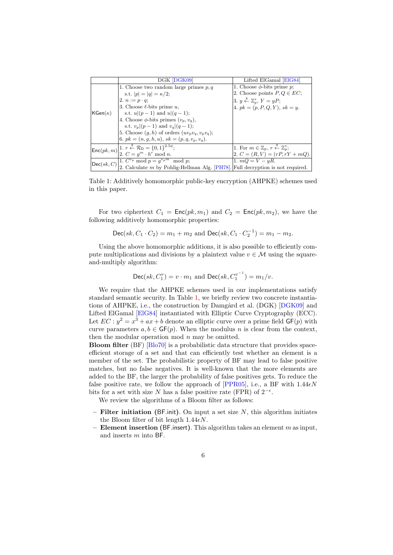<span id="page-5-0"></span>

|                         | DGK [DGK09]                                                                                                                                                                      | Lifted ElGamal   ElG84                                                         |
|-------------------------|----------------------------------------------------------------------------------------------------------------------------------------------------------------------------------|--------------------------------------------------------------------------------|
|                         |                                                                                                                                                                                  |                                                                                |
|                         | 1. Choose two random large primes $p, q$                                                                                                                                         | 1. Choose $\phi$ -bits prime p;                                                |
|                         | s.t. $ p  =  q  = \kappa/2$ ;                                                                                                                                                    | 2. Choose points $P,Q \in EC$ ;                                                |
|                         | $ 2. n := p \cdot q;$                                                                                                                                                            | 3. $y \stackrel{\$}{\leftarrow} \mathbb{Z}_p^*, Y = yP;$                       |
|                         | 3. Choose $\ell$ -bits prime u.                                                                                                                                                  | 4. $pk = (p, P, Q, Y), sk = y.$                                                |
| $\mathsf{KGen}(\kappa)$ | s.t. $u (p-1)$ and $u (q-1)$ ;                                                                                                                                                   |                                                                                |
|                         | 4. Choose $\phi$ -bits primes $(v_p, v_q)$ ,                                                                                                                                     |                                                                                |
|                         | s.t. $v_n (p-1)$ and $v_n (q-1)$ ;                                                                                                                                               |                                                                                |
|                         | 5. Choose $(g, h)$ of orders $(uv_p v_q, v_p v_q)$ ;                                                                                                                             |                                                                                |
|                         | $\vert 6. \ p k = (n, q, h, u), \ sk = (p, q, v_p, v_q).$                                                                                                                        |                                                                                |
|                         | $\boxed{\mathsf{Enc}(pk,m) \begin{bmatrix} 1. \ r \stackrel{\$}{{\leftarrow}} & \mathcal{R}_{\mathsf{D}} = \{0,1\}^{2.5\phi}; \\ 2. \ C = g^m \cdot h^r \bmod n. \end{bmatrix}}$ | 1. For $m \in \mathbb{Z}_p$ , $r \stackrel{\ast}{\leftarrow} \mathbb{Z}_n^*$ ; |
|                         |                                                                                                                                                                                  | $2. C = (R, V) = (rP, rY + mQ).$                                               |
|                         | $\left  \text{Dec}(sk, C) \right $ on $\left  \text{Dec}(sk, C) \right $ on $\left  \text{Dec}(sk, C) \right $ on $\left  \text{Dec}(sk, C) \right $                             | 1. $mQ = V - yR$ .                                                             |
|                         | 2. Calculate $m$ by Pohlig-Hellman Alg. [PH78]. Full decryption is not required.                                                                                                 |                                                                                |

Table 1: Additively homomorphic public-key encryption (AHPKE) schemes used in this paper.

For two ciphertext  $C_1 = \text{Enc}(pk, m_1)$  and  $C_2 = \text{Enc}(pk, m_2)$ , we have the following additively homomorphic properties:

$$
\mathsf{Dec}(sk, C_1 \cdot C_2) = m_1 + m_2 \text{ and } \mathsf{Dec}(sk, C_1 \cdot C_2^{-1}) = m_1 - m_2.
$$

Using the above homomorphic additions, it is also possible to efficiently compute multiplications and divisions by a plaintext value  $v \in \mathcal{M}$  using the squareand-multiply algorithm:

$$
\mathsf{Dec}(sk, C_1^v) = v \cdot m_1 \text{ and } \mathsf{Dec}(sk, C_1^{v^{-1}}) = m_1/v.
$$

We require that the AHPKE schemes used in our implementations satisfy standard semantic security. In Table [1,](#page-5-0) we briefly review two concrete instantia-tions of AHPKE, i.e., the construction by Damgård et al. (DGK) [\[DGK09\]](#page-18-0) and Lifted ElGamal [\[ElG84\]](#page-18-12) instantiated with Elliptic Curve Cryptography (ECC). Let  $EC: y^2 = x^3 + ax + b$  denote an elliptic curve over a prime field  $GF(p)$  with curve parameters  $a, b \in \mathsf{GF}(p)$ . When the modulus n is clear from the context, then the modular operation mod  $n$  may be omitted.

Bloom filter (BF) [\[Blo70\]](#page-18-1) is a probabilistic data structure that provides spaceefficient storage of a set and that can efficiently test whether an element is a member of the set. The probabilistic property of BF may lead to false positive matches, but no false negatives. It is well-known that the more elements are added to the BF, the larger the probability of false positives gets. To reduce the false positive rate, we follow the approach of [\[PPR05\]](#page-19-17), i.e., a BF with  $1.44\epsilon N$ bits for a set with size N has a false positive rate (FPR) of  $2^{-\epsilon}$ .

We review the algorithms of a Bloom filter as follows:

- $-$  Filter initiation (BF.init). On input a set size N, this algorithm initiates the Bloom filter of bit length  $1.44\epsilon N$ .
- Element insertion (BF.insert). This algorithm takes an element  $m$  as input, and inserts m into BF.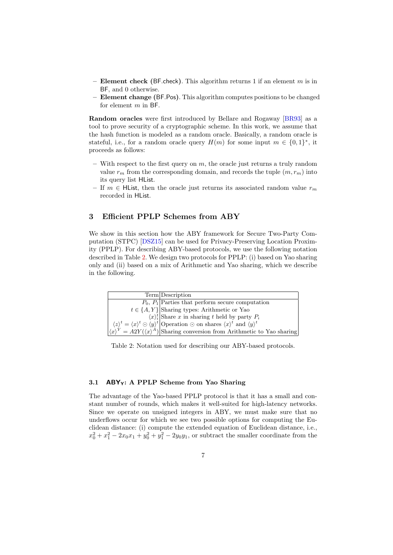- Element check (BF.check). This algorithm returns 1 if an element  $m$  is in BF, and 0 otherwise.
- Element change (BF.Pos). This algorithm computes positions to be changed for element m in BF.

Random oracles were first introduced by Bellare and Rogaway [\[BR93\]](#page-18-13) as a tool to prove security of a cryptographic scheme. In this work, we assume that the hash function is modeled as a random oracle. Basically, a random oracle is stateful, i.e., for a random oracle query  $H(m)$  for some input  $m \in \{0,1\}^*$ , it proceeds as follows:

- With respect to the first query on  $m$ , the oracle just returns a truly random value  $r_m$  from the corresponding domain, and records the tuple  $(m, r_m)$  into its query list HList.
- If  $m \in H$ List, then the oracle just returns its associated random value  $r_m$ recorded in HList.

# 3 Efficient PPLP Schemes from ABY

We show in this section how the ABY framework for Secure Two-Party Computation (STPC) [\[DSZ15\]](#page-18-9) can be used for Privacy-Preserving Location Proximity (PPLP). For describing ABY-based protocols, we use the following notation described in Table [2.](#page-6-0) We design two protocols for PPLP: (i) based on Yao sharing only and (ii) based on a mix of Arithmetic and Yao sharing, which we describe in the following.

<span id="page-6-0"></span>

| Term Description                                                                                                                                                                                                                                                                                                                                                                                                                                          |
|-----------------------------------------------------------------------------------------------------------------------------------------------------------------------------------------------------------------------------------------------------------------------------------------------------------------------------------------------------------------------------------------------------------------------------------------------------------|
| $\overline{P_0, P_1}$ Parties that perform secure computation                                                                                                                                                                                                                                                                                                                                                                                             |
| $t \in \{A, Y\}$ Sharing types: Arithmetic or Yao                                                                                                                                                                                                                                                                                                                                                                                                         |
|                                                                                                                                                                                                                                                                                                                                                                                                                                                           |
|                                                                                                                                                                                                                                                                                                                                                                                                                                                           |
| $\begin{cases} \n\langle x \rangle_i^i \left  \text{Share } x \text{ in sharing } t \text{ held by party } P_i \right  \\ \n\langle z \rangle^t = \langle x \rangle^t \odot \langle y \rangle^t \left  \text{Operation } \odot \text{ on shares } \langle x \rangle^t \text{ and } \langle y \rangle^t \right  \\ \n\langle x \rangle^Y = A2Y(\langle x \rangle^A) \left  \text{Sharing conversion from Arithmetic to Yao sharing} \right  \n\end{cases}$ |

Table 2: Notation used for describing our ABY-based protocols.

#### <span id="page-6-1"></span>3.1  $ABY_Y$ : A PPLP Scheme from Yao Sharing

The advantage of the Yao-based PPLP protocol is that it has a small and constant number of rounds, which makes it well-suited for high-latency networks. Since we operate on unsigned integers in ABY, we must make sure that no underflows occur for which we see two possible options for computing the Euclidean distance: (i) compute the extended equation of Euclidean distance, i.e.,  $x_0^2 + x_1^2 - 2x_0x_1 + y_0^2 + y_1^2 - 2y_0y_1$ , or subtract the smaller coordinate from the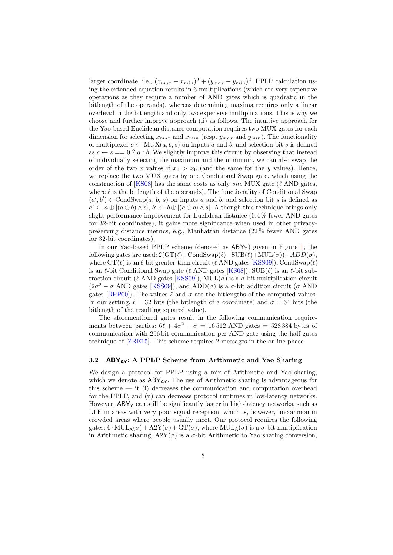larger coordinate, i.e.,  $(x_{max} - x_{min})^2 + (y_{max} - y_{min})^2$ . PPLP calculation using the extended equation results in 6 multiplications (which are very expensive operations as they require a number of AND gates which is quadratic in the bitlength of the operands), whereas determining maxima requires only a linear overhead in the bitlength and only two expensive multiplications. This is why we choose and further improve approach (ii) as follows. The intuitive approach for the Yao-based Euclidean distance computation requires two MUX gates for each dimension for selecting  $x_{max}$  and  $x_{min}$  (resp.  $y_{max}$  and  $y_{min}$ ). The functionality of multiplexer  $c \leftarrow \text{MUX}(a, b, s)$  on inputs a and b, and selection bit s is defined as  $c \leftarrow s == 0$  ? a : b. We slightly improve this circuit by observing that instead of individually selecting the maximum and the minimum, we can also swap the order of the two x values if  $x_1 > x_0$  (and the same for the y values). Hence, we replace the two MUX gates by one Conditional Swap gate, which using the construction of  $[KS08]$  has the same costs as only *one* MUX gate ( $\ell$  AND gates, where  $\ell$  is the bitlength of the operands). The functionality of Conditional Swap  $(a', b') \leftarrow \text{CondSwap}(a, b, s)$  on inputs a and b, and selection bit s is defined as  $a' \leftarrow a \oplus [ (a \oplus b) \wedge s], b' \leftarrow b \oplus [ (a \oplus b) \wedge s].$  Although this technique brings only slight performance improvement for Euclidean distance (0.4 % fewer AND gates for 32-bit coordinates), it gains more significance when used in other privacypreserving distance metrics, e.g., Manhattan distance (22 % fewer AND gates for 32-bit coordinates).

In our Yao-based PPLP scheme (denoted as  $ABY_Y$ ) given in Figure [1,](#page-8-0) the following gates are used:  $2(GT(\ell)+CondSwap(\ell)+SUB(\ell)+MUL(\sigma))+ADD(\sigma)$ , where  $GT(\ell)$  is an  $\ell$ -bit greater-than circuit ( $\ell$  AND gates [\[KSS09\]](#page-19-11)), CondSwap( $\ell$ ) is an  $\ell$ -bit Conditional Swap gate ( $\ell$  AND gates [\[KS08\]](#page-19-14)), SUB( $\ell$ ) is an  $\ell$ -bit subtraction circuit ( $\ell$  AND gates [\[KSS09\]](#page-19-11)), MUL( $\sigma$ ) is a  $\sigma$ -bit multiplication circuit  $(2\sigma^2 - \sigma \text{ AND gates [KSS09]), \text{ and } ADD(\sigma) \text{ is a } \sigma\text{-bit addition circuit } (\sigma \text{ AND})$  $(2\sigma^2 - \sigma \text{ AND gates [KSS09]), \text{ and } ADD(\sigma) \text{ is a } \sigma\text{-bit addition circuit } (\sigma \text{ AND})$  $(2\sigma^2 - \sigma \text{ AND gates [KSS09]), \text{ and } ADD(\sigma) \text{ is a } \sigma\text{-bit addition circuit } (\sigma \text{ AND})$ gates [\[BPP00\]](#page-18-14)). The values  $\ell$  and  $\sigma$  are the bitlengths of the computed values. In our setting,  $\ell = 32$  bits (the bitlength of a coordinate) and  $\sigma = 64$  bits (the bitlength of the resulting squared value).

The aforementioned gates result in the following communication requirements between parties:  $6\ell + 4\sigma^2 - \sigma = 16\,512$  AND gates = 528 384 bytes of communication with 256 bit communication per AND gate using the half-gates technique of [\[ZRE15\]](#page-19-15). This scheme requires 2 messages in the online phase.

#### <span id="page-7-0"></span>3.2  $ABY_{AY}$ : A PPLP Scheme from Arithmetic and Yao Sharing

We design a protocol for PPLP using a mix of Arithmetic and Yao sharing, which we denote as  $ABY_{AY}$ . The use of Arithmetic sharing is advantageous for this scheme  $-$  it (i) decreases the communication and computation overhead for the PPLP, and (ii) can decrease protocol runtimes in low-latency networks. However,  $ABY<sub>Y</sub>$  can still be significantly faster in high-latency networks, such as LTE in areas with very poor signal reception, which is, however, uncommon in crowded areas where people usually meet. Our protocol requires the following gates:  $6 \cdot \text{MUL}_A(\sigma) + \text{A2Y}(\sigma) + \text{GT}(\sigma)$ , where  $\text{MUL}_A(\sigma)$  is a  $\sigma$ -bit multiplication in Arithmetic sharing,  $A2Y(\sigma)$  is a  $\sigma$ -bit Arithmetic to Yao sharing conversion,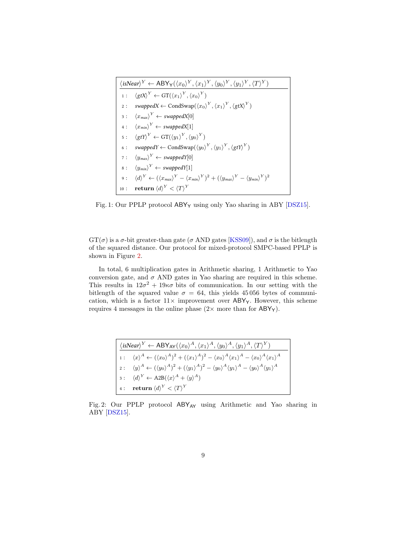<span id="page-8-0"></span>

| $\langle$ isNear $\rangle^Y \leftarrow ABY_Y(\langle x_0 \rangle^Y, \langle x_1 \rangle^Y, \langle y_0 \rangle^Y, \langle y_1 \rangle^Y, \langle T \rangle^Y)$ |                                                                                                                                                           |  |  |
|----------------------------------------------------------------------------------------------------------------------------------------------------------------|-----------------------------------------------------------------------------------------------------------------------------------------------------------|--|--|
|                                                                                                                                                                | 1: $\langle \text{gtX} \rangle^Y \leftarrow GT(\langle x_1 \rangle^Y, \langle x_0 \rangle^Y)$                                                             |  |  |
|                                                                                                                                                                | 2: swappedX $\leftarrow$ CondSwap $(\langle x_0 \rangle^Y, \langle x_1 \rangle^Y, \langle g \notin X \rangle^Y)$                                          |  |  |
|                                                                                                                                                                | $3: \langle x_{max} \rangle^{Y} \leftarrow \text{swappedX}[0]$                                                                                            |  |  |
|                                                                                                                                                                | 4: $\langle x_{min} \rangle^Y \leftarrow \text{swappedX}[1]$                                                                                              |  |  |
|                                                                                                                                                                | 5: $\langle gtY \rangle^Y \leftarrow GT(\langle y_1 \rangle^Y, \langle y_0 \rangle^Y)$                                                                    |  |  |
|                                                                                                                                                                | 6: swappedY $\leftarrow$ CondSwap $(\langle y_0 \rangle^Y, \langle y_1 \rangle^Y, \langle gt \rangle^Y)$                                                  |  |  |
|                                                                                                                                                                | 7: $\langle y_{max} \rangle^Y \leftarrow \text{swapped } Y[0]$                                                                                            |  |  |
|                                                                                                                                                                | $8: \langle y_{min} \rangle^{Y} \leftarrow \text{swappedY}[1]$                                                                                            |  |  |
|                                                                                                                                                                | 9: $\langle d \rangle^Y \leftarrow (\langle x_{max} \rangle^Y - \langle x_{min} \rangle^Y)^2 + (\langle y_{max} \rangle^Y - \langle y_{min} \rangle^Y)^2$ |  |  |
|                                                                                                                                                                | 10: <b>return</b> $\langle d \rangle^Y < \langle T \rangle^Y$                                                                                             |  |  |

Fig. 1: Our PPLP protocol  $ABY_Y$  using only Yao sharing in ABY [\[DSZ15\]](#page-18-9).

 $GT(\sigma)$  is a  $\sigma$ -bit greater-than gate ( $\sigma$  AND gates [\[KSS09\]](#page-19-11)), and  $\sigma$  is the bitlength of the squared distance. Our protocol for mixed-protocol SMPC-based PPLP is shown in Figure [2.](#page-8-1)

In total, 6 multiplication gates in Arithmetic sharing, 1 Arithmetic to Yao conversion gate, and  $\sigma$  AND gates in Yao sharing are required in this scheme. This results in  $12\sigma^2 + 19\kappa\sigma$  bits of communication. In our setting with the bitlength of the squared value  $\sigma = 64$ , this yields 45056 bytes of communication, which is a factor  $11\times$  improvement over ABY<sub>Y</sub>. However, this scheme requires 4 messages in the online phase  $(2 \times$  more than for ABY<sub>Y</sub>).

<span id="page-8-1"></span>

| $\vert \langle$ isNear $\rangle^{Y} \leftarrow ABY_{AY}(\langle x_0 \rangle^{A}, \langle x_1 \rangle^{A}, \langle y_0 \rangle^{A}, \langle y_1 \rangle^{A}, \langle T \rangle^{Y})$ |                                                                                                                                                                                        |  |
|-------------------------------------------------------------------------------------------------------------------------------------------------------------------------------------|----------------------------------------------------------------------------------------------------------------------------------------------------------------------------------------|--|
|                                                                                                                                                                                     | 1: $\langle x \rangle^A \leftarrow (\langle x_0 \rangle^A)^2 + (\langle x_1 \rangle^A)^2 - \langle x_0 \rangle^A \langle x_1 \rangle^A - \langle x_0 \rangle^A \langle x_1 \rangle^A$  |  |
|                                                                                                                                                                                     | $ z: \langle y \rangle^A \leftarrow (\langle y_0 \rangle^A)^2 + (\langle y_1 \rangle^A)^2 - \langle y_0 \rangle^A \langle y_1 \rangle^A - \langle y_0 \rangle^A \langle y_1 \rangle^A$ |  |
|                                                                                                                                                                                     | $ 3: \langle d \rangle^Y \leftarrow A2B(\langle x \rangle^A + \langle y \rangle^A)$                                                                                                    |  |
|                                                                                                                                                                                     | 4: return $\langle d \rangle^Y < \langle T \rangle^Y$                                                                                                                                  |  |

Fig. 2: Our PPLP protocol  $ABY_{AY}$  using Arithmetic and Yao sharing in ABY [\[DSZ15\]](#page-18-9).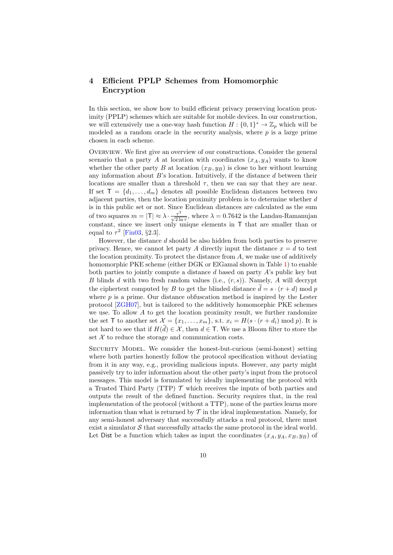# 4 Efficient PPLP Schemes from Homomorphic Encryption

In this section, we show how to build efficient privacy preserving location proximity (PPLP) schemes which are suitable for mobile devices. In our construction, we will extensively use a one-way hash function  $H: \{0,1\}^* \to \mathbb{Z}_p$  which will be modeled as a random oracle in the security analysis, where  $p$  is a large prime chosen in each scheme.

OVERVIEW. We first give an overview of our constructions. Consider the general scenario that a party A at location with coordinates  $(x_A, y_A)$  wants to know whether the other party B at location  $(x_B, y_B)$  is close to her without learning any information about  $B$ 's location. Intuitively, if the distance  $d$  between their locations are smaller than a threshold  $\tau$ , then we can say that they are near. If set  $\mathsf{T} = \{d_1, \ldots, d_m\}$  denotes all possible Euclidean distances between two adjacent parties, then the location proximity problem is to determine whether  $d$ is in this public set or not. Since Euclidean distances are calculated as the sum of two squares  $m = |T| \approx \lambda \cdot \frac{\tau^2}{\sqrt{2 \ln \tau}}$ , where  $\lambda = 0.7642$  is the Landau-Ramanujan constant, since we insert only unique elements in  $\mathsf T$  that are smaller than or equal to  $\tau^2$  [\[Fin03,](#page-18-15) §2.3].

However, the distance  $d$  should be also hidden from both parties to preserve privacy. Hence, we cannot let party A directly input the distance  $x = d$  to test the location proximity. To protect the distance from  $A$ , we make use of additively homomorphic PKE scheme (either DGK or ElGamal shown in Table [1\)](#page-5-0) to enable both parties to jointly compute a distance d based on party A's public key but B blinds d with two fresh random values (i.e.,  $(r, s)$ ). Namely, A will decrypt the ciphertext computed by B to get the blinded distance  $\tilde{d} = s \cdot (r + d) \mod p$ where  $p$  is a prime. Our distance obfuscation method is inspired by the Lester protocol [\[ZGH07\]](#page-19-4), but is tailored to the additively homomorphic PKE schemes we use. To allow  $A$  to get the location proximity result, we further randomize the set T to another set  $\mathcal{X} = \{x_1, \ldots, x_m\}$ , s.t.  $x_i = H(s \cdot (r + d_i) \mod p)$ . It is not hard to see that if  $H(\tilde{d}) \in \mathcal{X}$ , then  $d \in \mathsf{T}$ . We use a Bloom filter to store the set  $X$  to reduce the storage and communication costs.

SECURITY MODEL. We consider the honest-but-curious (semi-honest) setting where both parties honestly follow the protocol specification without deviating from it in any way, e.g., providing malicious inputs. However, any party might passively try to infer information about the other party's input from the protocol messages. This model is formulated by ideally implementing the protocol with a Trusted Third Party (TTP)  $\mathcal T$  which receives the inputs of both parties and outputs the result of the defined function. Security requires that, in the real implementation of the protocol (without a TTP), none of the parties learns more information than what is returned by  $\mathcal T$  in the ideal implementation. Namely, for any semi-honest adversary that successfully attacks a real protocol, there must exist a simulator  $S$  that successfully attacks the same protocol in the ideal world. Let Dist be a function which takes as input the coordinates  $(x_A, y_A, x_B, y_B)$  of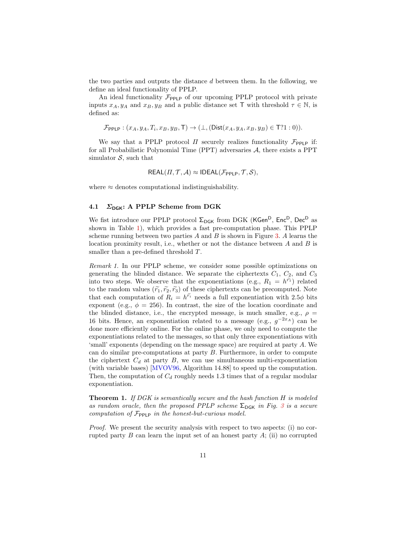the two parties and outputs the distance d between them. In the following, we define an ideal functionality of PPLP.

An ideal functionality  $\mathcal{F}_{\text{PPLP}}$  of our upcoming PPLP protocol with private inputs  $x_A, y_A$  and  $x_B, y_B$  and a public distance set T with threshold  $\tau \in \mathbb{N}$ , is defined as:

$$
\mathcal{F}_{\mathsf{PPLP}} : (x_A, y_A, T_i, x_B, y_B, \mathsf{T}) \to (\bot, (\mathsf{Dist}(x_A, y_A, x_B, y_B) \in \mathsf{T}?1:0)).
$$

We say that a PPLP protocol  $\Pi$  securely realizes functionality  $\mathcal{F}_{\text{PPLP}}$  if: for all Probabilistic Polynomial Time (PPT) adversaries A, there exists a PPT simulator  $S$ , such that

$$
REAL(\Pi, \mathcal{T}, \mathcal{A}) \approx IDEAL(\mathcal{F}_{\text{PPLP}}, \mathcal{T}, \mathcal{S}),
$$

where  $\approx$  denotes computational indistinguishability.

#### <span id="page-10-1"></span>4.1  $\Sigma_{\text{DGK}}$ : A PPLP Scheme from DGK

We fist introduce our PPLP protocol  $\Sigma_{\text{DGK}}$  from DGK (KGen<sup>D</sup>, Enc<sup>D</sup>, Dec<sup>D</sup> as shown in Table [1\)](#page-5-0), which provides a fast pre-computation phase. This PPLP scheme running between two parties  $A$  and  $B$  is shown in Figure [3.](#page-11-0) A learns the location proximity result, i.e., whether or not the distance between  $A$  and  $B$  is smaller than a pre-defined threshold  $T$ .

Remark 1. In our PPLP scheme, we consider some possible optimizations on generating the blinded distance. We separate the ciphertexts  $C_1$ ,  $C_2$ , and  $C_3$ into two steps. We observe that the exponentiations (e.g.,  $R_1 = h^{\tilde{r}_1}$ ) related to the random values  $(\tilde{r}_1, \tilde{r}_2, \tilde{r}_3)$  of these ciphertexts can be precomputed. Note that each computation of  $R_i = h^{\tilde{r_i}}$  needs a full exponentiation with 2.5 $\phi$  bits exponent (e.g.,  $\phi = 256$ ). In contrast, the size of the location coordinate and the blinded distance, i.e., the encrypted message, is much smaller, e.g.,  $\rho =$ 16 bits. Hence, an exponentiation related to a message (e.g.,  $g^{-2x_A}$ ) can be done more efficiently online. For the online phase, we only need to compute the exponentiations related to the messages, so that only three exponentiations with 'small' exponents (depending on the message space) are required at party A. We can do similar pre-computations at party  $B$ . Furthermore, in order to compute the ciphertext  $C_d$  at party B, we can use simultaneous multi-exponentiation (with variable bases) [\[MVOV96,](#page-19-18) Algorithm 14.88] to speed up the computation. Then, the computation of  $C_d$  roughly needs 1.3 times that of a regular modular exponentiation.

<span id="page-10-0"></span>**Theorem 1.** If DGK is semantically secure and the hash function  $H$  is modeled as random oracle, then the proposed PPLP scheme  $\Sigma_{\text{DGK}}$  in Fig. [3](#page-11-0) is a secure computation of  $\mathcal{F}_{\text{PPLP}}$  in the honest-but-curious model.

Proof. We present the security analysis with respect to two aspects: (i) no corrupted party  $B$  can learn the input set of an honest party  $A$ ; (ii) no corrupted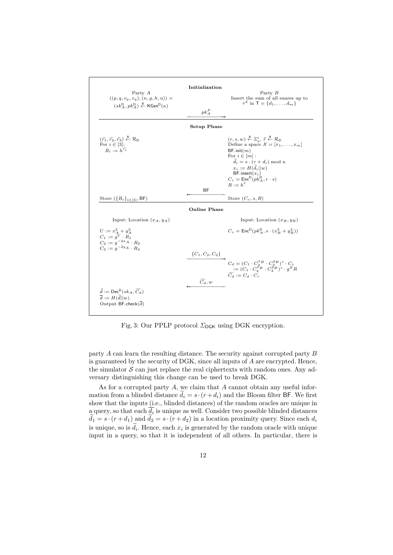<span id="page-11-0"></span>

Fig. 3: Our PPLP protocol  $\Sigma_{\text{DGK}}$  using DGK encryption.

party A can learn the resulting distance. The security against corrupted party B is guaranteed by the security of DGK, since all inputs of A are encrypted. Hence, the simulator  $S$  can just replace the real ciphertexts with random ones. Any adversary distinguishing this change can be used to break DGK.

As for a corrupted party  $A$ , we claim that  $A$  cannot obtain any useful information from a blinded distance  $\tilde{d}_i = s \cdot (r + d_i)$  and the Bloom filter BF. We first show that the inputs (i.e., blinded distances) of the random oracles are unique in a query, so that each  $d_i$  is unique as well. Consider two possible blinded distances  $d_1 = s \cdot (r + d_1)$  and  $d_2 = s \cdot (r + d_2)$  in a location proximity query. Since each  $d_i$ is unique, so is  $d_i$ . Hence, each  $x_i$  is generated by the random oracle with unique input in a query, so that it is independent of all others. In particular, there is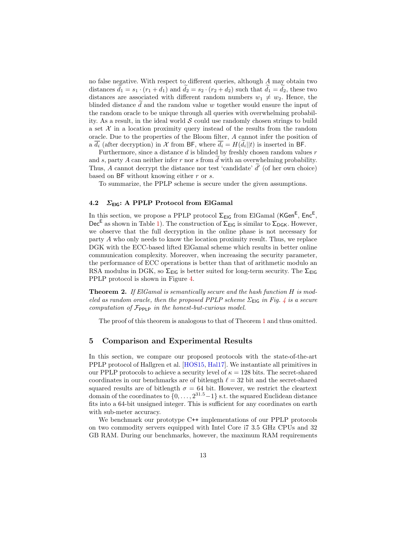no false negative. With respect to different queries, although A may obtain two distances  $d_1 = s_1 \cdot (r_1 + d_1)$  and  $d_2 = s_2 \cdot (r_2 + d_2)$  such that  $d_1 = d_2$ , these two distances are associated with different random numbers  $w_1 \neq w_2$ . Hence, the blinded distance  $d$  and the random value  $w$  together would ensure the input of the random oracle to be unique through all queries with overwhelming probability. As a result, in the ideal world  $S$  could use randomly chosen strings to build a set  $\mathcal X$  in a location proximity query instead of the results from the random oracle. Due to the properties of the Bloom filter, A cannot infer the position of a  $d_i$  (after decryption) in X from BF, where  $d_i = H(d_i||t)$  is inserted in BF.

Furthermore, since a distance  $d$  is blinded by freshly chosen random values  $r$ and s, party  $A$  can neither infer  $r$  nor  $s$  from  $d$  with an overwhelming probability. Thus, A cannot decrypt the distance nor test 'candidate'  $\tilde{d}'$  (of her own choice) based on  $BF$  without knowing either  $r$  or  $s$ .

To summarize, the PPLP scheme is secure under the given assumptions.

#### <span id="page-12-0"></span>4.2  $\Sigma_{\text{EIG}}$ : A PPLP Protocol from ElGamal

In this section, we propose a PPLP protocol  $\Sigma_{\text{EIG}}$  from ElGamal (KGen<sup>E</sup>, Enc<sup>E</sup>, Dec<sup>E</sup> as shown in Table [1\)](#page-5-0). The construction of  $\Sigma_{EIG}$  is similar to  $\Sigma_{DGK}$ . However, we observe that the full decryption in the online phase is not necessary for party A who only needs to know the location proximity result. Thus, we replace DGK with the ECC-based lifted ElGamal scheme which results in better online communication complexity. Moreover, when increasing the security parameter, the performance of ECC operations is better than that of arithmetic modulo an RSA modulus in DGK, so  $\Sigma_{EIG}$  is better suited for long-term security. The  $\Sigma_{EIG}$ PPLP protocol is shown in Figure [4.](#page-13-0)

Theorem 2. If ElGamal is semantically secure and the hash function H is modeled as random oracle, then the proposed PPLP scheme  $\Sigma_{\text{EIG}}$  in Fig. [4](#page-13-0) is a secure computation of  $\mathcal{F}_{\text{PPLP}}$  in the honest-but-curious model.

The proof of this theorem is analogous to that of Theorem [1](#page-10-0) and thus omitted.

#### 5 Comparison and Experimental Results

In this section, we compare our proposed protocols with the state-of-the-art PPLP protocol of Hallgren et al. [\[HOS15,](#page-18-3) [Hal17\]](#page-18-4). We instantiate all primitives in our PPLP protocols to achieve a security level of  $\kappa = 128$  bits. The secret-shared coordinates in our benchmarks are of bitlength  $\ell = 32$  bit and the secret-shared squared results are of bitlength  $\sigma = 64$  bit. However, we restrict the cleartext domain of the coordinates to  $\{0, \ldots, 2^{31.5}-1\}$  s.t. the squared Euclidean distance fits into a 64-bit unsigned integer. This is sufficient for any coordinates on earth with sub-meter accuracy.

We benchmark our prototype C<sup>++</sup> implementations of our PPLP protocols on two commodity servers equipped with Intel Core i7 3.5 GHz CPUs and 32 GB RAM. During our benchmarks, however, the maximum RAM requirements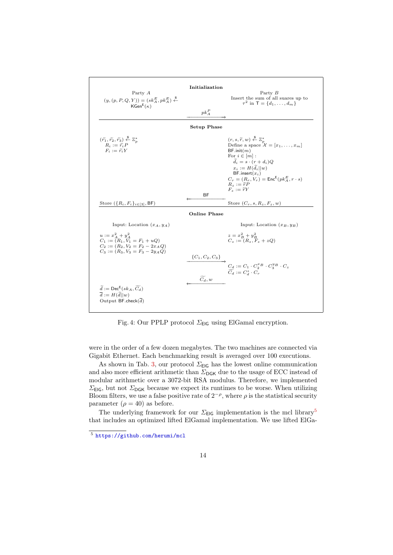<span id="page-13-0"></span>

Fig. 4: Our PPLP protocol  $\Sigma_{\text{EIG}}$  using ElGamal encryption.

were in the order of a few dozen megabytes. The two machines are connected via Gigabit Ethernet. Each benchmarking result is averaged over 100 executions.

As shown in Tab. [3,](#page-14-0) our protocol  $\Sigma_{\text{EIG}}$  has the lowest online communication and also more efficient arithmetic than  $\Sigma_{\text{DGK}}$  due to the usage of ECC instead of modular arithmetic over a 3072-bit RSA modulus. Therefore, we implemented  $\Sigma_{\text{FIG}}$ , but not  $\Sigma_{\text{DGK}}$  because we expect its runtimes to be worse. When utilizing Bloom filters, we use a false positive rate of  $2^{-\rho}$ , where  $\rho$  is the statistical security parameter ( $\rho = 40$ ) as before.

The underlying framework for our  $\Sigma_{\text{EIG}}$  implementation is the mcl library<sup>[5](#page-13-1)</sup> that includes an optimized lifted ElGamal implementation. We use lifted ElGa-

<span id="page-13-1"></span><sup>5</sup> <https://github.com/herumi/mcl>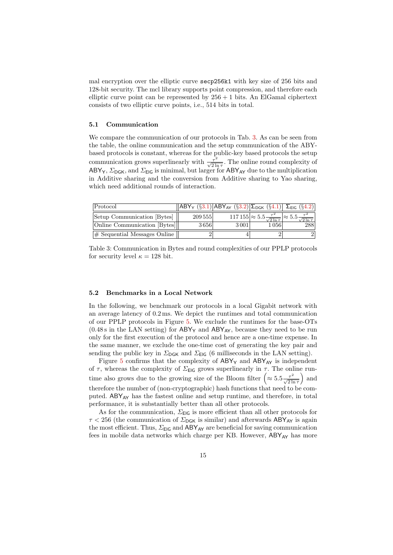mal encryption over the elliptic curve secp256k1 with key size of 256 bits and 128-bit security. The mcl library supports point compression, and therefore each elliptic curve point can be represented by  $256 + 1$  bits. An ElGamal ciphertext consists of two elliptic curve points, i.e., 514 bits in total.

#### 5.1 Communication

We compare the communication of our protocols in Tab. [3.](#page-14-0) As can be seen from the table, the online communication and the setup communication of the ABYbased protocols is constant, whereas for the public-key based protocols the setup communication grows superlinearly with  $\frac{\tau^2}{\sqrt{2 \ln \tau}}$ . The online round complexity of ABY<sub>Y</sub>,  $\Sigma_{\text{DGK}}$ , and  $\Sigma_{\text{EIG}}$  is minimal, but larger for ABY<sub>AY</sub> due to the multiplication in Additive sharing and the conversion from Additive sharing to Yao sharing, which need additional rounds of interaction.

<span id="page-14-0"></span>

| Protocol                        |         | $\sqrt{ ABY_{Y}(\S{3.1}) ABY_{AY}(\S{3.2})  \Sigma_{DGK}(\S{4.1}) } \Sigma_{EIG}(\S{4.2}) $ |                                                                                                    |     |
|---------------------------------|---------|---------------------------------------------------------------------------------------------|----------------------------------------------------------------------------------------------------|-----|
| Setup Communication [Bytes]     | 209 555 |                                                                                             | $117\,155 \approx 5.5 \frac{\tau^2}{\sqrt{2\ln \tau}} \approx 5.5 \frac{\tau^2}{\sqrt{2\ln \tau}}$ |     |
| Online Communication [Bytes]    | 3656    | $3\,001$                                                                                    | $1\,056$                                                                                           | 288 |
| $\#$ Sequential Messages Online |         |                                                                                             |                                                                                                    |     |

Table 3: Communication in Bytes and round complexities of our PPLP protocols for security level  $\kappa = 128$  bit.

#### <span id="page-14-1"></span>5.2 Benchmarks in a Local Network

In the following, we benchmark our protocols in a local Gigabit network with an average latency of 0.2 ms. We depict the runtimes and total communication of our PPLP protocols in Figure [5.](#page-15-0) We exclude the runtimes for the base-OTs  $(0.48 s \text{ in the LAN setting})$  for  $ABY_Y$  and  $ABY_{AY}$ , because they need to be run only for the first execution of the protocol and hence are a one-time expense. In the same manner, we exclude the one-time cost of generating the key pair and sending the public key in  $\Sigma_{\text{DGK}}$  and  $\Sigma_{\text{EIG}}$  (6 milliseconds in the LAN setting).

Figure [5](#page-15-0) confirms that the complexity of  $ABY_Y$  and  $ABY_{AY}$  is independent of  $\tau$ , whereas the complexity of  $\Sigma_{\text{EIG}}$  grows superlinearly in  $\tau$ . The online runtime also grows due to the growing size of the Bloom filter  $\left(\approx 5.5 \frac{\tau^2}{\sqrt{2 \ln \tau}}\right)$ ) and therefore the number of (non-cryptographic) hash functions that need to be computed. ABY<sub>AY</sub> has the fastest online and setup runtime, and therefore, in total performance, it is substantially better than all other protocols.

As for the communication,  $\Sigma_{\text{EIG}}$  is more efficient than all other protocols for  $\tau$  < 256 (the communication of  $\Sigma_{\text{DGK}}$  is similar) and afterwards ABY<sub>AY</sub> is again the most efficient. Thus,  $\Sigma_{\text{EIG}}$  and  $\text{ABY}_{\text{AY}}$  are beneficial for saving communication fees in mobile data networks which charge per KB. However,  $ABY_{AY}$  has more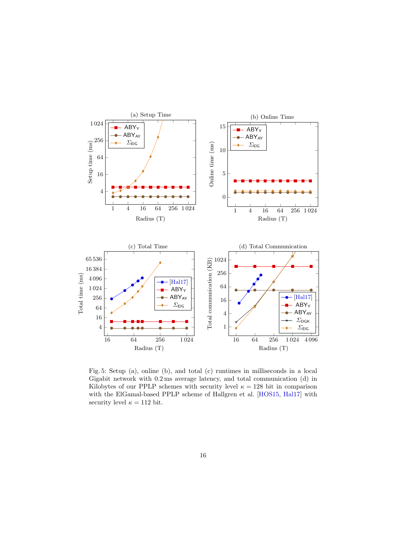<span id="page-15-0"></span>

Fig. 5: Setup (a), online (b), and total (c) runtimes in milliseconds in a local Gigabit network with 0.2 ms average latency, and total communication (d) in Kilobytes of our PPLP schemes with security level  $\kappa = 128$  bit in comparison with the ElGamal-based PPLP scheme of Hallgren et al. [\[HOS15,](#page-18-3) [Hal17\]](#page-18-4) with security level  $\kappa = 112$  bit.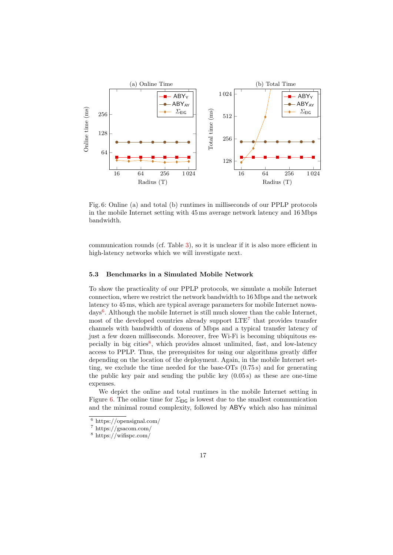<span id="page-16-3"></span>

Fig. 6: Online (a) and total (b) runtimes in milliseconds of our PPLP protocols in the mobile Internet setting with 45 ms average network latency and 16 Mbps bandwidth.

communication rounds (cf. Table [3\)](#page-14-0), so it is unclear if it is also more efficient in high-latency networks which we will investigate next.

#### 5.3 Benchmarks in a Simulated Mobile Network

To show the practicality of our PPLP protocols, we simulate a mobile Internet connection, where we restrict the network bandwidth to 16 Mbps and the network latency to 45 ms, which are typical average parameters for mobile Internet nowa-days<sup>[6](#page-16-0)</sup>. Although the mobile Internet is still much slower than the cable Internet, most of the developed countries already support  $\text{LTE}^7$  $\text{LTE}^7$  that provides transfer channels with bandwidth of dozens of Mbps and a typical transfer latency of just a few dozen milliseconds. Moreover, free Wi-Fi is becoming ubiquitous es-pecially in big cities<sup>[8](#page-16-2)</sup>, which provides almost unlimited, fast, and low-latency access to PPLP. Thus, the prerequisites for using our algorithms greatly differ depending on the location of the deployment. Again, in the mobile Internet setting, we exclude the time needed for the base-OTs (0.75 s) and for generating the public key pair and sending the public key  $(0.05s)$  as these are one-time expenses.

We depict the online and total runtimes in the mobile Internet setting in Figure [6.](#page-16-3) The online time for  $\Sigma_{\text{EIG}}$  is lowest due to the smallest communication and the minimal round complexity, followed by  $ABY<sub>Y</sub>$  which also has minimal

<span id="page-16-0"></span> $6$  https://opensignal.com/

<span id="page-16-1"></span><sup>7</sup> https://gsacom.com/

<span id="page-16-2"></span><sup>8</sup> https://wifispc.com/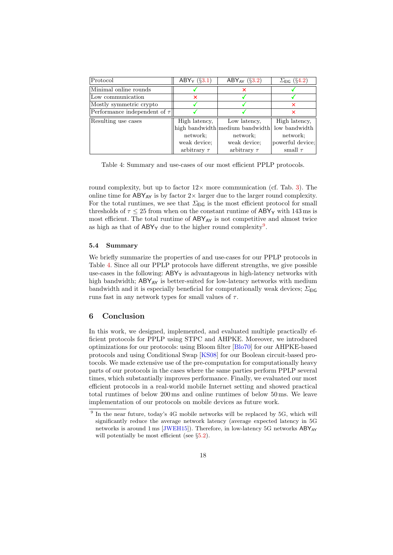<span id="page-17-1"></span>

| Protocol                          | ABY <sub>Y</sub> $(\S3.1)$ | ABY <sub>AY</sub> $(\S3.2)$     | $\Sigma_{\text{EIG}}$ (§4.2) |
|-----------------------------------|----------------------------|---------------------------------|------------------------------|
| Minimal online rounds             |                            |                                 |                              |
| Low communication                 | ×                          |                                 |                              |
| Mostly symmetric crypto           |                            |                                 | ×                            |
| Performance independent of $\tau$ |                            |                                 |                              |
| Resulting use cases               | High latency,              | Low latency,                    | High latency,                |
|                                   |                            | high bandwidth medium bandwidth | low bandwidth                |
|                                   | network;                   | network;                        | network;                     |
|                                   | weak device:               | weak device;                    | powerful device;             |
|                                   | arbitrary $\tau$           | arbitrary $\tau$                | small $\tau$                 |

Table 4: Summary and use-cases of our most efficient PPLP protocols.

round complexity, but up to factor  $12\times$  more communication (cf. Tab. [3\)](#page-14-0). The online time for  $ABY_{AY}$  is by factor  $2\times$  larger due to the larger round complexity. For the total runtimes, we see that  $\Sigma_{\textsf{EIG}}$  is the most efficient protocol for small thresholds of  $\tau \leq 25$  from when on the constant runtime of ABY<sub>Y</sub> with 143 ms is most efficient. The total runtime of  $ABY_{AY}$  is not competitive and almost twice as high as that of  $ABY_Y$  due to the higher round complexity<sup>[9](#page-17-0)</sup>.

#### 5.4 Summary

We briefly summarize the properties of and use-cases for our PPLP protocols in Table [4.](#page-17-1) Since all our PPLP protocols have different strengths, we give possible use-cases in the following:  $ABY<sub>Y</sub>$  is advantageous in high-latency networks with high bandwidth;  $ABY_{AY}$  is better-suited for low-latency networks with medium bandwidth and it is especially beneficial for computationally weak devices;  $\Sigma_{\text{EIG}}$ runs fast in any network types for small values of  $\tau$ .

# 6 Conclusion

In this work, we designed, implemented, and evaluated multiple practically efficient protocols for PPLP using STPC and AHPKE. Moreover, we introduced optimizations for our protocols: using Bloom filter [\[Blo70\]](#page-18-1) for our AHPKE-based protocols and using Conditional Swap [\[KS08\]](#page-19-14) for our Boolean circuit-based protocols. We made extensive use of the pre-computation for computationally heavy parts of our protocols in the cases where the same parties perform PPLP several times, which substantially improves performance. Finally, we evaluated our most efficient protocols in a real-world mobile Internet setting and showed practical total runtimes of below 200 ms and online runtimes of below 50 ms. We leave implementation of our protocols on mobile devices as future work.

<span id="page-17-0"></span><sup>&</sup>lt;sup>9</sup> In the near future, today's 4G mobile networks will be replaced by 5G, which will significantly reduce the average network latency (average expected latency in 5G networks is around 1 ms [\[JWEH15\]](#page-19-19)). Therefore, in low-latency 5G networks  $ABY_{AY}$ will potentially be most efficient (see  $\S 5.2$ ).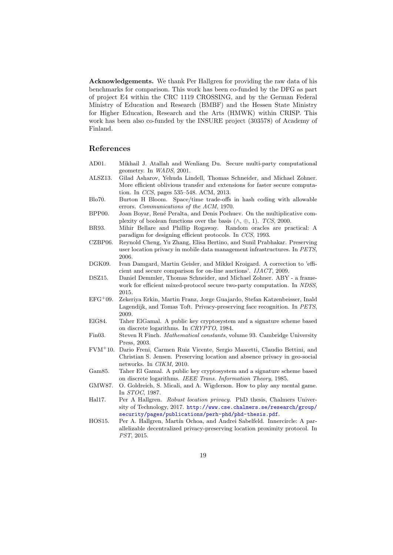Acknowledgements. We thank Per Hallgren for providing the raw data of his benchmarks for comparison. This work has been co-funded by the DFG as part of project E4 within the CRC 1119 CROSSING, and by the German Federal Ministry of Education and Research (BMBF) and the Hessen State Ministry for Higher Education, Research and the Arts (HMWK) within CRISP. This work has been also co-funded by the INSURE project (303578) of Academy of Finland.

# References

- <span id="page-18-7"></span>AD01. Mikhail J. Atallah and Wenliang Du. Secure multi-party computational geometry. In WADS, 2001.
- <span id="page-18-10"></span>ALSZ13. Gilad Asharov, Yehuda Lindell, Thomas Schneider, and Michael Zohner. More efficient oblivious transfer and extensions for faster secure computation. In CCS, pages 535–548. ACM, 2013.
- <span id="page-18-1"></span>Blo70. Burton H Bloom. Space/time trade-offs in hash coding with allowable errors. Communications of the ACM, 1970.
- <span id="page-18-14"></span>BPP00. Joan Boyar, René Peralta, and Denis Pochuev. On the multiplicative complexity of boolean functions over the basis  $(\wedge, \oplus, 1)$ . TCS, 2000.

<span id="page-18-13"></span>BR93. Mihir Bellare and Phillip Rogaway. Random oracles are practical: A paradigm for designing efficient protocols. In CCS, 1993.

- <span id="page-18-5"></span>CZBP06. Reynold Cheng, Yu Zhang, Elisa Bertino, and Sunil Prabhakar. Preserving user location privacy in mobile data management infrastructures. In PETS, 2006.
- <span id="page-18-0"></span>DGK09. Ivan Damgard, Martin Geisler, and Mikkel Kroigard. A correction to 'efficient and secure comparison for on-line auctions'. IJACT, 2009.
- <span id="page-18-9"></span>DSZ15. Daniel Demmler, Thomas Schneider, and Michael Zohner. ABY - a framework for efficient mixed-protocol secure two-party computation. In NDSS, 2015.
- <span id="page-18-8"></span>EFG<sup>+</sup>09. Zekeriya Erkin, Martin Franz, Jorge Guajardo, Stefan Katzenbeisser, Inald Lagendijk, and Tomas Toft. Privacy-preserving face recognition. In PETS, 2009.
- <span id="page-18-12"></span>ElG84. Taher ElGamal. A public key cryptosystem and a signature scheme based on discrete logarithms. In CRYPTO, 1984.
- <span id="page-18-15"></span>Fin03. Steven R Finch. Mathematical constants, volume 93. Cambridge University Press, 2003.
- <span id="page-18-6"></span>FVM<sup>+</sup>10. Dario Freni, Carmen Ruiz Vicente, Sergio Mascetti, Claudio Bettini, and Christian S. Jensen. Preserving location and absence privacy in geo-social networks. In CIKM, 2010.
- <span id="page-18-2"></span>Gam85. Taher El Gamal. A public key cryptosystem and a signature scheme based on discrete logarithms. IEEE Trans. Information Theory, 1985.
- <span id="page-18-11"></span>GMW87. O. Goldreich, S. Micali, and A. Wigderson. How to play any mental game. In STOC, 1987.
- <span id="page-18-4"></span>Hal17. Per A Hallgren. Robust location privacy. PhD thesis, Chalmers University of Technology, 2017. [http://www.cse.chalmers.se/research/group/](http://www.cse.chalmers.se/research/group/security/pages/publications/perh-phd/phd-thesis.pdf) [security/pages/publications/perh-phd/phd-thesis.pdf](http://www.cse.chalmers.se/research/group/security/pages/publications/perh-phd/phd-thesis.pdf).
- <span id="page-18-3"></span>HOS15. Per A. Hallgren, Martín Ochoa, and Andrei Sabelfeld. Innercircle: A parallelizable decentralized privacy-preserving location proximity protocol. In PST, 2015.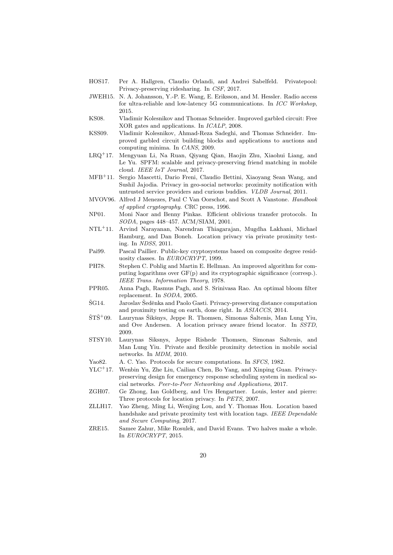- <span id="page-19-1"></span>HOS17. Per A. Hallgren, Claudio Orlandi, and Andrei Sabelfeld. Privatepool: Privacy-preserving ridesharing. In CSF, 2017.
- <span id="page-19-19"></span>JWEH15. N. A. Johansson, Y.-P. E. Wang, E. Eriksson, and M. Hessler. Radio access for ultra-reliable and low-latency 5G communications. In ICC Workshop, 2015.
- <span id="page-19-14"></span>KS08. Vladimir Kolesnikov and Thomas Schneider. Improved garbled circuit: Free XOR gates and applications. In ICALP, 2008.
- <span id="page-19-11"></span>KSS09. Vladimir Kolesnikov, Ahmad-Reza Sadeghi, and Thomas Schneider. Improved garbled circuit building blocks and applications to auctions and computing minima. In CANS, 2009.
- <span id="page-19-0"></span>LRQ<sup>+</sup>17. Mengyuan Li, Na Ruan, Qiyang Qian, Haojin Zhu, Xiaohui Liang, and Le Yu. SPFM: scalable and privacy-preserving friend matching in mobile cloud. IEEE IoT Journal, 2017.
- <span id="page-19-6"></span>MFB<sup>+</sup>11. Sergio Mascetti, Dario Freni, Claudio Bettini, Xiaoyang Sean Wang, and Sushil Jajodia. Privacy in geo-social networks: proximity notification with untrusted service providers and curious buddies. VLDB Journal, 2011.
- <span id="page-19-18"></span>MVOV96. Alfred J Menezes, Paul C Van Oorschot, and Scott A Vanstone. Handbook of applied cryptography. CRC press, 1996.
- <span id="page-19-13"></span>NP01. Moni Naor and Benny Pinkas. Efficient oblivious transfer protocols. In SODA, pages 448–457. ACM/SIAM, 2001.
- <span id="page-19-7"></span>NTL<sup>+</sup>11. Arvind Narayanan, Narendran Thiagarajan, Mugdha Lakhani, Michael Hamburg, and Dan Boneh. Location privacy via private proximity testing. In NDSS, 2011.
- <span id="page-19-10"></span>Pai99. Pascal Paillier. Public-key cryptosystems based on composite degree residuosity classes. In EUROCRYPT, 1999.
- <span id="page-19-16"></span>PH78. Stephen C. Pohlig and Martin E. Hellman. An improved algorithm for computing logarithms over GF(p) and its cryptographic significance (corresp.). IEEE Trans. Information Theory, 1978.
- <span id="page-19-17"></span>PPR05. Anna Pagh, Rasmus Pagh, and S. Srinivasa Rao. An optimal bloom filter replacement. In SODA, 2005.
- <span id="page-19-8"></span> $\text{\r{S}}G14.$  Jaroslav Šeděnka and Paolo Gasti. Privacy-preserving distance computation and proximity testing on earth, done right. In ASIACCS, 2014.
- <span id="page-19-5"></span> $\text{STS}^+09.$  Laurynas Šikšnys, Jeppe R. Thomsen, Simonas Šaltenis, Man Lung Yiu, and Ove Andersen. A location privacy aware friend locator. In SSTD, 2009.
- <span id="page-19-3"></span>STSY10. Laurynas Siksnys, Jeppe Rishede Thomsen, Simonas Saltenis, and Man Lung Yiu. Private and flexible proximity detection in mobile social networks. In MDM, 2010.
- <span id="page-19-12"></span>Yao82. A. C. Yao. Protocols for secure computations. In *SFCS*, 1982.
- <span id="page-19-2"></span>YLC<sup>+</sup>17. Wenbin Yu, Zhe Liu, Cailian Chen, Bo Yang, and Xinping Guan. Privacypreserving design for emergency response scheduling system in medical social networks. Peer-to-Peer Networking and Applications, 2017.
- <span id="page-19-4"></span>ZGH07. Ge Zhong, Ian Goldberg, and Urs Hengartner. Louis, lester and pierre: Three protocols for location privacy. In PETS, 2007.
- <span id="page-19-9"></span>ZLLH17. Yao Zheng, Ming Li, Wenjing Lou, and Y. Thomas Hou. Location based handshake and private proximity test with location tags. IEEE Dependable and Secure Computing, 2017.
- <span id="page-19-15"></span>ZRE15. Samee Zahur, Mike Rosulek, and David Evans. Two halves make a whole. In EUROCRYPT, 2015.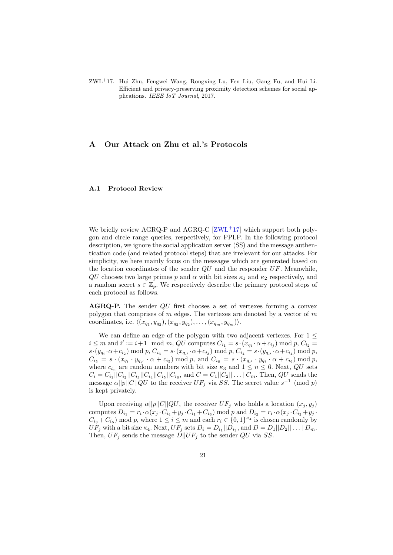<span id="page-20-0"></span>ZWL<sup>+</sup>17. Hui Zhu, Fengwei Wang, Rongxing Lu, Fen Liu, Gang Fu, and Hui Li. Efficient and privacy-preserving proximity detection schemes for social applications. IEEE IoT Journal, 2017.

# <span id="page-20-1"></span>A Our Attack on Zhu et al.'s Protocols

#### A.1 Protocol Review

We briefly review AGRQ-P and AGRQ-C  $[ZWL+17]$  $[ZWL+17]$  which support both polygon and circle range queries, respectively, for PPLP. In the following protocol description, we ignore the social application server (SS) and the message authentication code (and related protocol steps) that are irrelevant for our attacks. For simplicity, we here mainly focus on the messages which are generated based on the location coordinates of the sender  $QU$  and the responder  $UF$ . Meanwhile,  $QU$  chooses two large primes p and  $\alpha$  with bit sizes  $\kappa_1$  and  $\kappa_2$  respectively, and a random secret  $s \in \mathbb{Z}_p$ . We respectively describe the primary protocol steps of each protocol as follows.

AGRQ-P. The sender QU first chooses a set of vertexes forming a convex polygon that comprises of  $m$  edges. The vertexes are denoted by a vector of  $m$ coordinates, i.e.  $\langle (x_{q_1}, y_{q_2}), (x_{q_2}, y_{q_2}), \ldots, (x_{q_m}, y_{q_m}) \rangle$ .

We can define an edge of the polygon with two adjacent vertexes. For 1  $\leq$  $i \leq m$  and  $i' := i+1 \mod m$ , QU computes  $C_{i_1} = s \cdot (x_{q_i} \cdot \alpha + c_{i_j}) \mod p$ ,  $C_{i_2} = s \cdot (x_{q_i} \cdot \alpha + c_{i_j}) \mod p$  $s \cdot (y_{q_i} \cdot \alpha + c_{i_2}) \bmod p, C_{i_3} = s \cdot (x_{q_{i'}} \cdot \alpha + c_{i_3}) \bmod p, C_{i_4} = s \cdot (y_{q_{i'}} \cdot \alpha + c_{i_4}) \bmod p,$  $C_{i_5} = s \cdot (x_{q_i} \cdot y_{q_{i'}} \cdot \alpha + c_{i_5}) \bmod p$ , and  $C_{i_6} = s \cdot (x_{q_{i'}} \cdot y_{q_{i}} \cdot \alpha + c_{i_6}) \bmod p$ , where  $c_{i_n}$  are random numbers with bit size  $\kappa_3$  and  $1 \leq n \leq 6$ . Next, QU sets  $C_i = C_{i_1} || C_{i_2} || C_{i_3} || C_{i_4} || C_{i_5} || C_{i_6}$ , and  $C = C_1 || C_2 || \dots || C_m$ . Then, QU sends the message  $\alpha ||p||C||QU$  to the receiver  $UF_j$  via SS. The secret value  $s^{-1} \pmod{p}$ is kept privately.

Upon receiving  $\alpha ||p||C||QU$ , the receiver  $UF_j$  who holds a location  $(x_j, y_j)$ computes  $D_{i_1} = r_i \cdot \alpha(x_j \cdot C_{i_4} + y_j \cdot C_{i_1} + C_{i_6}) \text{ mod } p \text{ and } D_{i_2} = r_i \cdot \alpha(x_j \cdot C_{i_2} + y_j \cdot C_{i_4} + C_{i_6})$  $C_{i_3} + C_{i_5}$  mod p, where  $1 \leq i \leq m$  and each  $r_i \in \{0, 1\}^{\kappa_4}$  is chosen randomly by  $UF_j$  with a bit size  $\kappa_4$ . Next,  $UF_j$  sets  $D_i = D_{i_1} || D_{i_2}$ , and  $D = D_1 || D_2 || \dots || D_m$ . Then,  $UF_j$  sends the message  $D||UF_j$  to the sender  $QU$  via SS.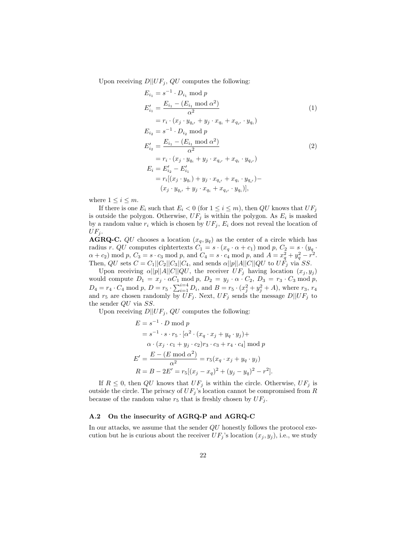Upon receiving  $D||UF_j, QU$  computes the following:

<span id="page-21-1"></span><span id="page-21-0"></span>
$$
E_{i_1} = s^{-1} \cdot D_{i_1} \mod p
$$
  
\n
$$
E'_{i_1} = \frac{E_{i_1} - (E_{i_1} \mod \alpha^2)}{\alpha^2}
$$
  
\n
$$
= r_i \cdot (x_j \cdot y_{q_{i'}} + y_j \cdot x_{q_i} + x_{q_{i'}} \cdot y_{q_i})
$$
  
\n
$$
E_{i_2} = s^{-1} \cdot D_{i_2} \mod p
$$
  
\n
$$
E'_{i_2} = \frac{E_{i_1} - (E_{i_1} \mod \alpha^2)}{\alpha^2}
$$
  
\n
$$
= r_i \cdot (x_j \cdot y_{q_i} + y_j \cdot x_{q_{i'}} + x_{q_i} \cdot y_{q_{i'}})
$$
  
\n
$$
E_i = E'_{i_2} - E'_{i_1}
$$
  
\n
$$
= r_i [(x_j \cdot y_{q_i}) + y_j \cdot x_{q_{i'}} + x_{q_i} \cdot y_{q_{i'}}) - (x_j \cdot y_{q_{i'}} + y_j \cdot x_{q_i} + x_{q_{i'}} \cdot y_{q_i})],
$$
  
\n(1)

where  $1 \leq i \leq m$ .

If there is one  $E_i$  such that  $E_i < 0$  (for  $1 \leq i \leq m$ ), then  $QU$  knows that  $UF_i$ is outside the polygon. Otherwise,  $UF_j$  is within the polygon. As  $E_i$  is masked by a random value  $r_i$  which is chosen by  $UF_j$ ,  $E_i$  does not reveal the location of  $UF_j.$ 

**AGRQ-C.** QU chooses a location  $(x_q, y_q)$  as the center of a circle which has radius r. QU computes ciphtertexts  $C_1 = s \cdot (x_q \cdot \alpha + c_1) \mod p$ ,  $C_2 = s \cdot (y_q \cdot \alpha + c_2)$  $\alpha + c_2$ ) mod p,  $C_3 = s \cdot c_3 \mod p$ , and  $C_4 = s \cdot c_4 \mod p$ , and  $A = x_q^2 + y_q^2 - r^2$ . Then,  $QU$  sets  $C = C_1||C_2||C_3||C_4$ , and sends  $\alpha||p||A||C||QU$  to  $U\dot{F}_j$  via SS.

Upon receiving  $\alpha||p||A||C||QU$ , the receiver  $UF_j$  having location  $(x_j, y_j)$ would compute  $D_1 = x_j \cdot \alpha C_1 \mod p$ ,  $D_2 = y_j \cdot \alpha \cdot C_2$ ,  $D_3 = r_3 \cdot C_3 \mod p$ ,  $D_4 = r_4 \cdot C_4 \mod p, D = r_5 \cdot \sum_{i=1}^{i=4} D_i$ , and  $B = r_5 \cdot (x_j^2 + y_j^2 + A)$ , where  $r_3, r_4$ and  $r_5$  are chosen randomly by  $UF_j$ . Next,  $UF_j$  sends the message  $D||UF_j$  to the sender QU via SS.

Upon receiving  $D||UF_j, QU$  computes the following:

$$
E = s^{-1} \cdot D \mod p
$$
  
=  $s^{-1} \cdot s \cdot r_5 \cdot [\alpha^2 \cdot (x_q \cdot x_j + y_q \cdot y_j) + \alpha \cdot (x_j \cdot c_1 + y_j \cdot c_2) r_3 \cdot c_3 + r_4 \cdot c_4] \mod p$   

$$
E' = \frac{E - (E \mod \alpha^2)}{\alpha^2} = r_5(x_q \cdot x_j + y_q \cdot y_j)
$$
  

$$
R = B - 2E' = r_5[(x_j - x_q)^2 + (y_j - y_q)^2 - r^2].
$$

If  $R \leq 0$ , then QU knows that  $UF_j$  is within the circle. Otherwise,  $UF_j$  is outside the circle. The privacy of  $UF_j$ 's location cannot be compromised from R because of the random value  $r_5$  that is freshly chosen by  $UF_j$ .

# A.2 On the insecurity of AGRQ-P and AGRQ-C

In our attacks, we assume that the sender  $QU$  honestly follows the protocol execution but he is curious about the receiver  $UF_j$ 's location  $(x_j, y_j)$ , i.e., we study